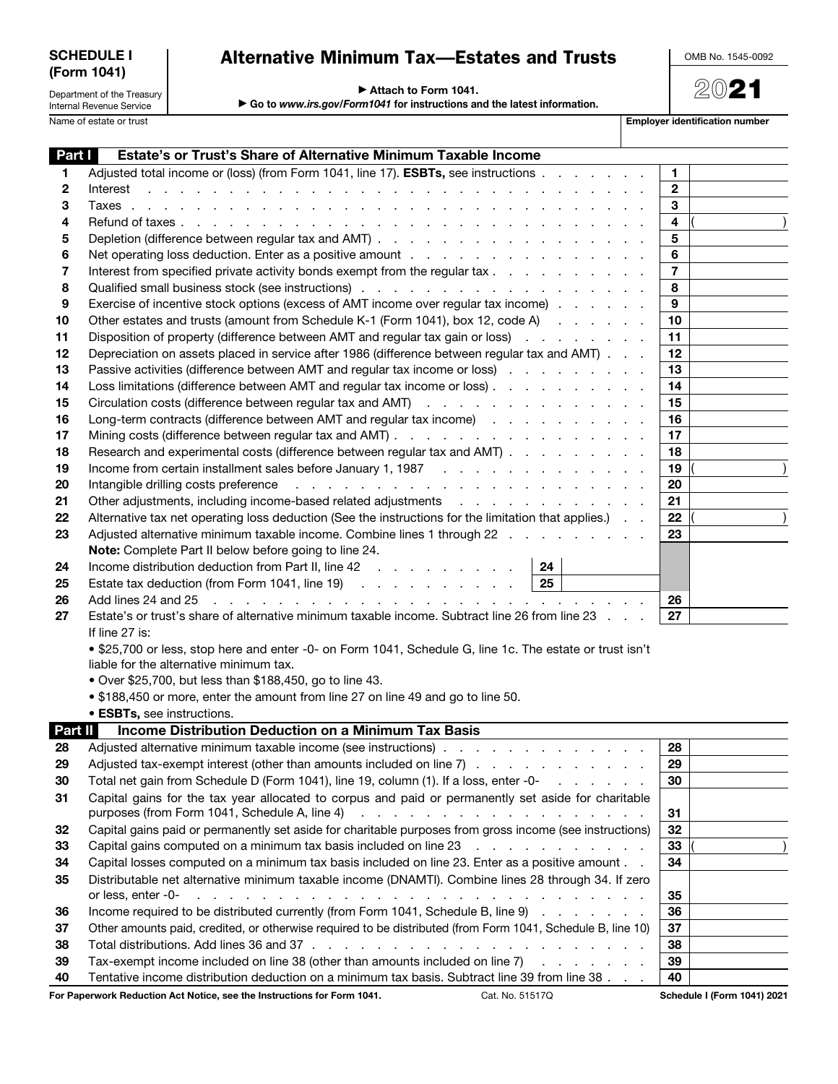| <b>SCHEDULE I</b> |  |
|-------------------|--|
| (Form 1041)       |  |

## Alternative Minimum Tax—Estates and Trusts

OMB No. 1545-0092

2021

▶ Attach to Form 1041.

Department of the Treasury Internal Revenue Service

▶ Go to *www.irs.gov/Form1041* for instructions and the latest information.

Name of estate or trust **Employer identification number** 

| Part I         | Estate's or Trust's Share of Alternative Minimum Taxable Income                                                                                                                                                                                      |                |  |
|----------------|------------------------------------------------------------------------------------------------------------------------------------------------------------------------------------------------------------------------------------------------------|----------------|--|
| 1              | Adjusted total income or (loss) (from Form 1041, line 17). <b>ESBTs</b> , see instructions                                                                                                                                                           | $\mathbf{1}$   |  |
| 2              | and the contract of the contract of the contract of the contract of the contract of the contract of the contract of the contract of the contract of the contract of the contract of the contract of the contract of the contra<br>Interest           | $\mathbf{2}$   |  |
| 3              |                                                                                                                                                                                                                                                      | 3              |  |
| 4              |                                                                                                                                                                                                                                                      | 4              |  |
| 5              |                                                                                                                                                                                                                                                      | 5              |  |
| 6              |                                                                                                                                                                                                                                                      | 6              |  |
| 7              | Interest from specified private activity bonds exempt from the regular tax                                                                                                                                                                           | $\overline{7}$ |  |
| 8              |                                                                                                                                                                                                                                                      | 8              |  |
| 9              | Exercise of incentive stock options (excess of AMT income over regular tax income)                                                                                                                                                                   | 9              |  |
| 10             | Other estates and trusts (amount from Schedule K-1 (Form 1041), box 12, code A)                                                                                                                                                                      | 10             |  |
| 11             | Disposition of property (difference between AMT and regular tax gain or loss)                                                                                                                                                                        | 11             |  |
| 12             | Depreciation on assets placed in service after 1986 (difference between regular tax and AMT)                                                                                                                                                         | 12             |  |
| 13             | Passive activities (difference between AMT and regular tax income or loss)                                                                                                                                                                           | 13             |  |
| 14             | Loss limitations (difference between AMT and regular tax income or loss)                                                                                                                                                                             | 14             |  |
| 15             | Circulation costs (difference between regular tax and AMT)                                                                                                                                                                                           | 15             |  |
| 16             | Long-term contracts (difference between AMT and regular tax income)                                                                                                                                                                                  | 16             |  |
| 17             |                                                                                                                                                                                                                                                      | 17             |  |
| 18             | Research and experimental costs (difference between regular tax and AMT)                                                                                                                                                                             | 18             |  |
| 19<br>20       |                                                                                                                                                                                                                                                      | 19<br>20       |  |
| 21             | Other adjustments, including income-based related adjustments                                                                                                                                                                                        | 21             |  |
| 22             | Alternative tax net operating loss deduction (See the instructions for the limitation that applies.)                                                                                                                                                 | 22             |  |
| 23             | Adjusted alternative minimum taxable income. Combine lines 1 through 22                                                                                                                                                                              | 23             |  |
|                | Note: Complete Part II below before going to line 24.                                                                                                                                                                                                |                |  |
| 24             | Income distribution deduction from Part II, line $42 \ldots$ , , , , , , , , ,<br>24                                                                                                                                                                 |                |  |
| 25             | Estate tax deduction (from Form 1041, line 19) $\ldots$ $\ldots$ $\ldots$ $\ldots$ $\ldots$   25                                                                                                                                                     |                |  |
| 26             | Add lines 24 and 25<br>المتعاون والمتعاون والمتعاون والمتعاون والمتعاون والمتعاون والمتعاون والمتعاون والمتعاون والمتعاون                                                                                                                            | 26             |  |
| 27             | Estate's or trust's share of alternative minimum taxable income. Subtract line 26 from line 23                                                                                                                                                       | 27             |  |
|                | If line 27 is:                                                                                                                                                                                                                                       |                |  |
|                | • \$25,700 or less, stop here and enter -0- on Form 1041, Schedule G, line 1c. The estate or trust isn't                                                                                                                                             |                |  |
|                | liable for the alternative minimum tax.                                                                                                                                                                                                              |                |  |
|                | • Over \$25,700, but less than \$188,450, go to line 43.                                                                                                                                                                                             |                |  |
|                | • \$188,450 or more, enter the amount from line 27 on line 49 and go to line 50.                                                                                                                                                                     |                |  |
|                | • ESBTs, see instructions.                                                                                                                                                                                                                           |                |  |
| <b>Part II</b> | <b>Income Distribution Deduction on a Minimum Tax Basis</b>                                                                                                                                                                                          |                |  |
| 28             | Adjusted alternative minimum taxable income (see instructions)                                                                                                                                                                                       | 28             |  |
| 29             | Adjusted tax-exempt interest (other than amounts included on line 7)                                                                                                                                                                                 | 29             |  |
| 30             |                                                                                                                                                                                                                                                      | 30             |  |
| 31             | Capital gains for the tax year allocated to corpus and paid or permanently set aside for charitable                                                                                                                                                  |                |  |
|                |                                                                                                                                                                                                                                                      | 31             |  |
| 32             | Capital gains paid or permanently set aside for charitable purposes from gross income (see instructions)                                                                                                                                             | 32             |  |
| 33             | Capital gains computed on a minimum tax basis included on line 23                                                                                                                                                                                    | 33             |  |
| 34             | Capital losses computed on a minimum tax basis included on line 23. Enter as a positive amount                                                                                                                                                       | 34             |  |
| 35             | Distributable net alternative minimum taxable income (DNAMTI). Combine lines 28 through 34. If zero                                                                                                                                                  |                |  |
|                | and the contract of the contract of the contract of the contract of the contract of the contract of the contract of the contract of the contract of the contract of the contract of the contract of the contract of the contra<br>or less, enter -0- | 35             |  |
| 36             | Income required to be distributed currently (from Form 1041, Schedule B, line 9)                                                                                                                                                                     | 36             |  |
| 37             | Other amounts paid, credited, or otherwise required to be distributed (from Form 1041, Schedule B, line 10)                                                                                                                                          | 37             |  |
| 38             |                                                                                                                                                                                                                                                      | 38             |  |
| 39             | Tax-exempt income included on line 38 (other than amounts included on line 7)                                                                                                                                                                        | 39             |  |
| 40             | Tentative income distribution deduction on a minimum tax basis. Subtract line 39 from line 38                                                                                                                                                        | 40             |  |

For Paperwork Reduction Act Notice, see the Instructions for Form 1041. Cat. No. 51517Q Schedule I (Form 1041) 2021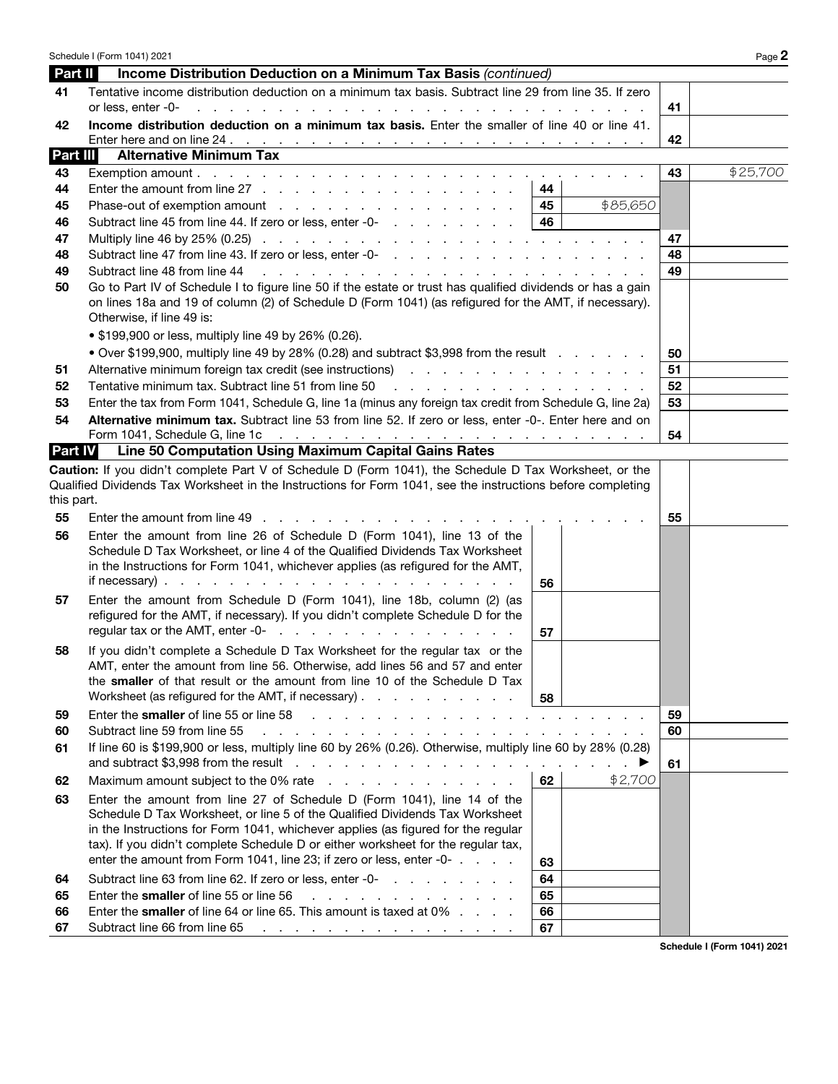|                        | Schedule I (Form 1041) 2021                                                                                                                                                                                                                                                                                                                                                                                   |          | Page 2                      |
|------------------------|---------------------------------------------------------------------------------------------------------------------------------------------------------------------------------------------------------------------------------------------------------------------------------------------------------------------------------------------------------------------------------------------------------------|----------|-----------------------------|
| Part II                | Income Distribution Deduction on a Minimum Tax Basis (continued)                                                                                                                                                                                                                                                                                                                                              |          |                             |
| 41                     | Tentative income distribution deduction on a minimum tax basis. Subtract line 29 from line 35. If zero<br>or less, enter -0-<br>and the contract of the contract of<br>the contract of the contract of the                                                                                                                                                                                                    | 41       |                             |
|                        | Income distribution deduction on a minimum tax basis. Enter the smaller of line 40 or line 41.                                                                                                                                                                                                                                                                                                                |          |                             |
| 42                     |                                                                                                                                                                                                                                                                                                                                                                                                               | 42       |                             |
| Part III               | <b>Alternative Minimum Tax</b>                                                                                                                                                                                                                                                                                                                                                                                |          |                             |
| 43                     |                                                                                                                                                                                                                                                                                                                                                                                                               | 43       | \$25,700                    |
| 44                     | Enter the amount from line $27 \ldots \ldots \ldots \ldots \ldots \ldots \ldots \ldots$<br>44                                                                                                                                                                                                                                                                                                                 |          |                             |
| 45                     | Phase-out of exemption amount<br>45<br>\$85,650                                                                                                                                                                                                                                                                                                                                                               |          |                             |
| 46                     | 46<br>Subtract line 45 from line 44. If zero or less, enter -0-                                                                                                                                                                                                                                                                                                                                               |          |                             |
| 47                     | Multiply line 46 by 25% (0.25) $\ldots$ $\ldots$ $\ldots$ $\ldots$ $\ldots$ $\ldots$ $\ldots$ $\ldots$ $\ldots$ $\ldots$                                                                                                                                                                                                                                                                                      | 47       |                             |
| 48                     |                                                                                                                                                                                                                                                                                                                                                                                                               | 48       |                             |
| 49                     | Subtract line 48 from line 44<br>a construction of the construction of the construction of the construction of the construction of the construction of the construction of the construction of the construction of the construction of the construction of the                                                                                                                                                | 49       |                             |
| 50                     | Go to Part IV of Schedule I to figure line 50 if the estate or trust has qualified dividends or has a gain<br>on lines 18a and 19 of column (2) of Schedule D (Form 1041) (as refigured for the AMT, if necessary).<br>Otherwise, if line 49 is:<br>• \$199,900 or less, multiply line 49 by 26% (0.26).                                                                                                      |          |                             |
|                        |                                                                                                                                                                                                                                                                                                                                                                                                               |          |                             |
|                        | • Over \$199,900, multiply line 49 by 28% (0.28) and subtract \$3,998 from the result                                                                                                                                                                                                                                                                                                                         | 50<br>51 |                             |
| 51<br>52               | Tentative minimum tax, Subtract line 51 from line 50<br>the contract of the contract of the contract of the contract of the contract of the contract of the contract of                                                                                                                                                                                                                                       | 52       |                             |
| 53                     | Enter the tax from Form 1041, Schedule G, line 1a (minus any foreign tax credit from Schedule G, line 2a)                                                                                                                                                                                                                                                                                                     | 53       |                             |
| 54                     | Alternative minimum tax. Subtract line 53 from line 52. If zero or less, enter -0-. Enter here and on                                                                                                                                                                                                                                                                                                         |          |                             |
|                        |                                                                                                                                                                                                                                                                                                                                                                                                               | 54       |                             |
| <b>Part IV</b>         | Line 50 Computation Using Maximum Capital Gains Rates                                                                                                                                                                                                                                                                                                                                                         |          |                             |
| this part.<br>55<br>56 | Enter the amount from line 49<br>Enter the amount from line 26 of Schedule D (Form 1041), line 13 of the<br>Schedule D Tax Worksheet, or line 4 of the Qualified Dividends Tax Worksheet                                                                                                                                                                                                                      | 55       |                             |
|                        | in the Instructions for Form 1041, whichever applies (as refigured for the AMT,<br>56                                                                                                                                                                                                                                                                                                                         |          |                             |
| 57                     | Enter the amount from Schedule D (Form 1041), line 18b, column (2) (as<br>refigured for the AMT, if necessary). If you didn't complete Schedule D for the<br>regular tax or the AMT, enter -0-<br>and the contract of the contract of the contract of<br>57                                                                                                                                                   |          |                             |
| 58                     | If you didn't complete a Schedule D Tax Worksheet for the regular tax or the<br>AMT, enter the amount from line 56. Otherwise, add lines 56 and 57 and enter<br>the smaller of that result or the amount from line 10 of the Schedule D Tax<br>Worksheet (as refigured for the AMT, if necessary)<br>58                                                                                                       |          |                             |
| 59                     | Enter the smaller of line 55 or line 58<br>and the contract of the contract of the contract of the contract of the contract of the contract of the contract of the contract of the contract of the contract of the contract of the contract of the contract of the contra                                                                                                                                     | 59       |                             |
| 60                     | Subtract line 59 from line 55<br>a construction of the construction of the construction of the construction of the construction of the construction of the construction of the construction of the construction of the construction of the construction of the                                                                                                                                                | 60       |                             |
| 61                     | If line 60 is \$199,900 or less, multiply line 60 by 26% (0.26). Otherwise, multiply line 60 by 28% (0.28)                                                                                                                                                                                                                                                                                                    | 61       |                             |
| 62                     | 62<br>Maximum amount subject to the 0% rate results and results and results are not result of Maximum and Maximum and $\sim$<br>\$2,700                                                                                                                                                                                                                                                                       |          |                             |
| 63                     | Enter the amount from line 27 of Schedule D (Form 1041), line 14 of the<br>Schedule D Tax Worksheet, or line 5 of the Qualified Dividends Tax Worksheet<br>in the Instructions for Form 1041, whichever applies (as figured for the regular<br>tax). If you didn't complete Schedule D or either worksheet for the regular tax,<br>enter the amount from Form 1041, line 23; if zero or less, enter -0-<br>63 |          |                             |
| 64                     | Subtract line 63 from line 62. If zero or less, enter -0-<br>64                                                                                                                                                                                                                                                                                                                                               |          |                             |
| 65                     | Enter the smaller of line 55 or line 56<br>65<br>and the contract of the contract of the                                                                                                                                                                                                                                                                                                                      |          |                             |
| 66                     | Enter the <b>smaller</b> of line 64 or line 65. This amount is taxed at 0%<br>66                                                                                                                                                                                                                                                                                                                              |          |                             |
| 67                     | Subtract line 66 from line 65<br>67<br>and a series of the contract of the contract of the contract of                                                                                                                                                                                                                                                                                                        |          |                             |
|                        |                                                                                                                                                                                                                                                                                                                                                                                                               |          | Schedule I (Form 1041) 2021 |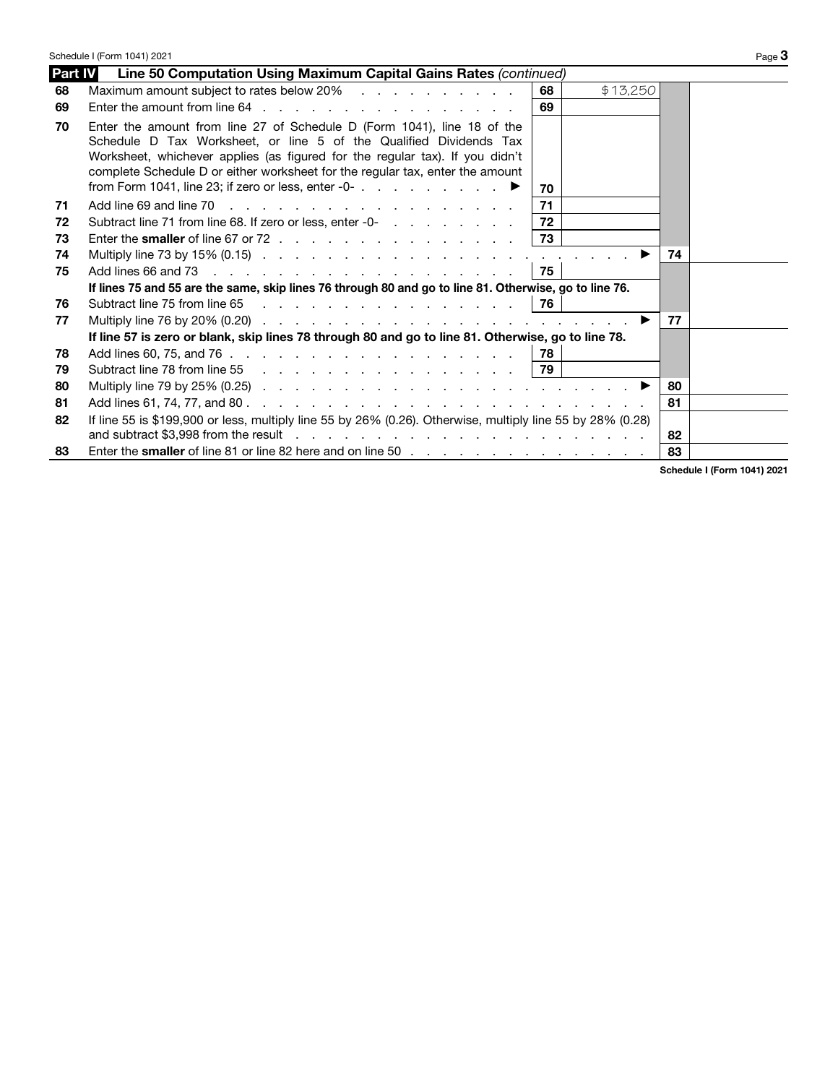|         | Schedule I (Form 1041) 2021                                                                                                                                                                                                                                                                                                                                                                          |    |          |         | Page 3 |
|---------|------------------------------------------------------------------------------------------------------------------------------------------------------------------------------------------------------------------------------------------------------------------------------------------------------------------------------------------------------------------------------------------------------|----|----------|---------|--------|
| Part IV | Line 50 Computation Using Maximum Capital Gains Rates (continued)                                                                                                                                                                                                                                                                                                                                    |    |          |         |        |
| 68      | Maximum amount subject to rates below 20%                                                                                                                                                                                                                                                                                                                                                            | 68 | \$13,250 |         |        |
| 69      |                                                                                                                                                                                                                                                                                                                                                                                                      | 69 |          |         |        |
| 70      | Enter the amount from line 27 of Schedule D (Form 1041), line 18 of the<br>Schedule D Tax Worksheet, or line 5 of the Qualified Dividends Tax<br>Worksheet, whichever applies (as figured for the regular tax). If you didn't<br>complete Schedule D or either worksheet for the regular tax, enter the amount<br>from Form 1041, line 23; if zero or less, enter -0- $\ldots$ $\blacktriangleright$ | 70 |          |         |        |
| 71      |                                                                                                                                                                                                                                                                                                                                                                                                      | 71 |          |         |        |
| 72      | Subtract line 71 from line 68. If zero or less, enter -0-                                                                                                                                                                                                                                                                                                                                            | 72 |          |         |        |
| 73      |                                                                                                                                                                                                                                                                                                                                                                                                      | 73 |          |         |        |
| 74      | Multiply line 73 by 15% (0.15) $\ldots$ $\ldots$ $\ldots$ $\ldots$ $\ldots$ $\ldots$ $\ldots$ $\ldots$ $\ldots$                                                                                                                                                                                                                                                                                      |    |          | 74      |        |
| 75      |                                                                                                                                                                                                                                                                                                                                                                                                      | 75 |          |         |        |
|         | If lines 75 and 55 are the same, skip lines 76 through 80 and go to line 81. Otherwise, go to line 76.                                                                                                                                                                                                                                                                                               |    |          |         |        |
| 76      | Subtract line 75 from line 65 76                                                                                                                                                                                                                                                                                                                                                                     |    |          |         |        |
| 77      | Multiply line 76 by 20% (0.20) $\ldots$ $\ldots$ $\ldots$ $\ldots$ $\ldots$ $\ldots$ $\ldots$ $\ldots$ $\ldots$ $\ldots$                                                                                                                                                                                                                                                                             |    |          | 77<br>▶ |        |
|         | If line 57 is zero or blank, skip lines 78 through 80 and go to line 81. Otherwise, go to line 78.                                                                                                                                                                                                                                                                                                   |    |          |         |        |
| 78      |                                                                                                                                                                                                                                                                                                                                                                                                      | 78 |          |         |        |
| 79      | Subtract line 78 from line 55 79                                                                                                                                                                                                                                                                                                                                                                     |    |          |         |        |
| 80      | Multiply line 79 by 25% (0.25) $\ldots$ $\ldots$ $\ldots$ $\ldots$ $\ldots$ $\ldots$ $\ldots$ $\ldots$ $\ldots$ $\ldots$                                                                                                                                                                                                                                                                             |    |          | 80      |        |
| 81      |                                                                                                                                                                                                                                                                                                                                                                                                      |    |          | 81      |        |
| 82      | If line 55 is \$199,900 or less, multiply line 55 by 26% (0.26). Otherwise, multiply line 55 by 28% (0.28)                                                                                                                                                                                                                                                                                           |    |          |         |        |
|         | and subtract \$3,998 from the result enteries and subtract the result of the result of the result of the result                                                                                                                                                                                                                                                                                      |    |          | 82      |        |
| 83      |                                                                                                                                                                                                                                                                                                                                                                                                      |    |          | 83      |        |
|         |                                                                                                                                                                                                                                                                                                                                                                                                      |    |          |         |        |

Schedule I (Form 1041) 2021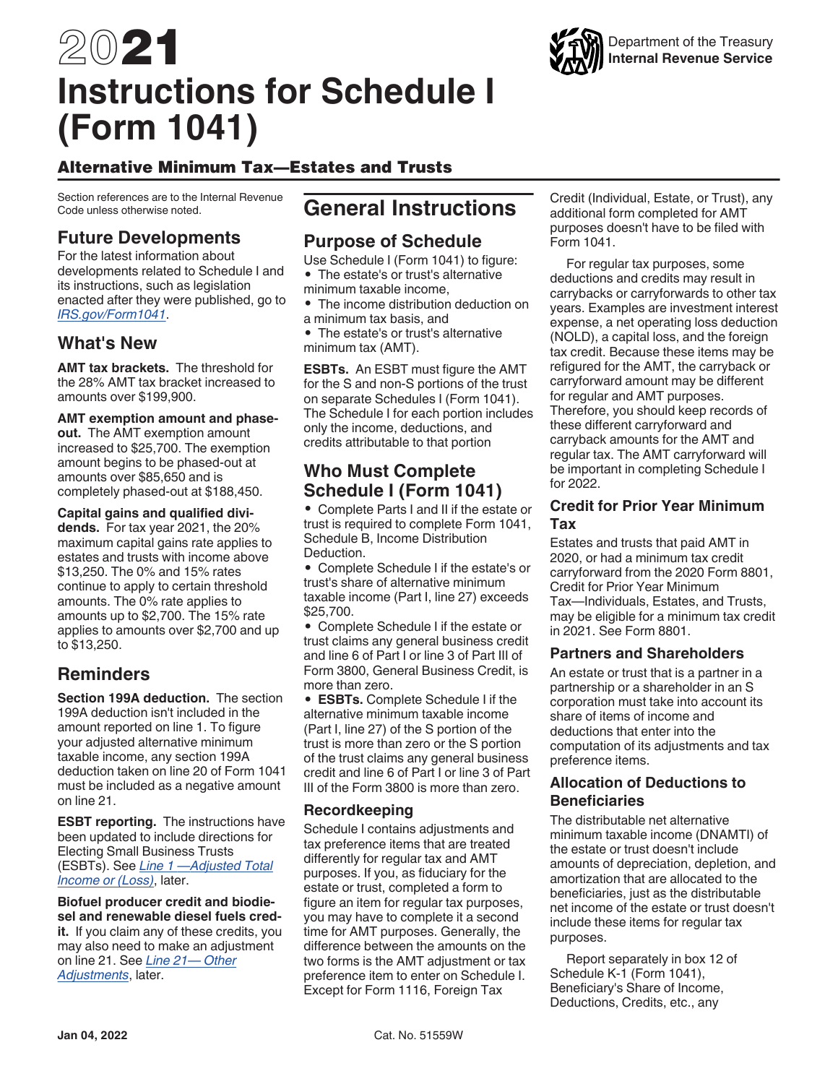# 2021 **Instructions for Schedule I (Form 1041)**



Section references are to the Internal Revenue Code unless otherwise noted.

## **Future Developments**

For the latest information about developments related to Schedule I and its instructions, such as legislation enacted after they were published, go to *[IRS.gov/Form1041](https://www.irs.gov/forms-pubs/about-form-1041)*.

## **What's New**

**AMT tax brackets.** The threshold for the 28% AMT tax bracket increased to amounts over \$199,900.

#### **AMT exemption amount and phase-**

**out.** The AMT exemption amount increased to \$25,700. The exemption amount begins to be phased-out at amounts over \$85,650 and is completely phased-out at \$188,450.

**Capital gains and qualified dividends.** For tax year 2021, the 20% maximum capital gains rate applies to estates and trusts with income above \$13,250. The 0% and 15% rates continue to apply to certain threshold amounts. The 0% rate applies to amounts up to \$2,700. The 15% rate applies to amounts over \$2,700 and up to \$13,250.

## **Reminders**

**Section 199A deduction.** The section 199A deduction isn't included in the amount reported on line 1. To figure your adjusted alternative minimum taxable income, any section 199A deduction taken on line 20 of Form 1041 must be included as a negative amount on line 21.

**ESBT reporting.** The instructions have been updated to include directions for Electing Small Business Trusts (ESBTs). See *Line 1 —Adjusted Total Income or (Loss)*, later.

**Biofuel producer credit and biodiesel and renewable diesel fuels credit.** If you claim any of these credits, you may also need to make an adjustment on line 21. See *Line 21— Other Adjustments*, later.

## **General Instructions**

## **Purpose of Schedule**

Use Schedule I (Form 1041) to figure: • The estate's or trust's alternative minimum taxable income,

• The income distribution deduction on a minimum tax basis, and

• The estate's or trust's alternative minimum tax (AMT).

**ESBTs.** An ESBT must figure the AMT for the S and non-S portions of the trust on separate Schedules I (Form 1041). The Schedule I for each portion includes only the income, deductions, and credits attributable to that portion

## **Who Must Complete Schedule I (Form 1041)**

• Complete Parts I and II if the estate or trust is required to complete Form 1041, Schedule B, Income Distribution **Deduction** 

• Complete Schedule I if the estate's or trust's share of alternative minimum taxable income (Part I, line 27) exceeds \$25,700.

• Complete Schedule I if the estate or trust claims any general business credit and line 6 of Part I or line 3 of Part III of Form 3800, General Business Credit, is more than zero.

• **ESBTs.** Complete Schedule I if the alternative minimum taxable income (Part I, line 27) of the S portion of the trust is more than zero or the S portion of the trust claims any general business credit and line 6 of Part I or line 3 of Part III of the Form 3800 is more than zero.

#### **Recordkeeping**

Schedule I contains adjustments and tax preference items that are treated differently for regular tax and AMT purposes. If you, as fiduciary for the estate or trust, completed a form to figure an item for regular tax purposes, you may have to complete it a second time for AMT purposes. Generally, the difference between the amounts on the two forms is the AMT adjustment or tax preference item to enter on Schedule I. Except for Form 1116, Foreign Tax

Credit (Individual, Estate, or Trust), any additional form completed for AMT purposes doesn't have to be filed with Form 1041.

For regular tax purposes, some deductions and credits may result in carrybacks or carryforwards to other tax years. Examples are investment interest expense, a net operating loss deduction (NOLD), a capital loss, and the foreign tax credit. Because these items may be refigured for the AMT, the carryback or carryforward amount may be different for regular and AMT purposes. Therefore, you should keep records of these different carryforward and carryback amounts for the AMT and regular tax. The AMT carryforward will be important in completing Schedule I for 2022.

#### **Credit for Prior Year Minimum Tax**

Estates and trusts that paid AMT in 2020, or had a minimum tax credit carryforward from the 2020 Form 8801, Credit for Prior Year Minimum Tax—Individuals, Estates, and Trusts, may be eligible for a minimum tax credit in 2021. See Form 8801.

#### **Partners and Shareholders**

An estate or trust that is a partner in a partnership or a shareholder in an S corporation must take into account its share of items of income and deductions that enter into the computation of its adjustments and tax preference items.

#### **Allocation of Deductions to Beneficiaries**

The distributable net alternative minimum taxable income (DNAMTI) of the estate or trust doesn't include amounts of depreciation, depletion, and amortization that are allocated to the beneficiaries, just as the distributable net income of the estate or trust doesn't include these items for regular tax purposes.

Report separately in box 12 of Schedule K-1 (Form 1041), Beneficiary's Share of Income, Deductions, Credits, etc., any

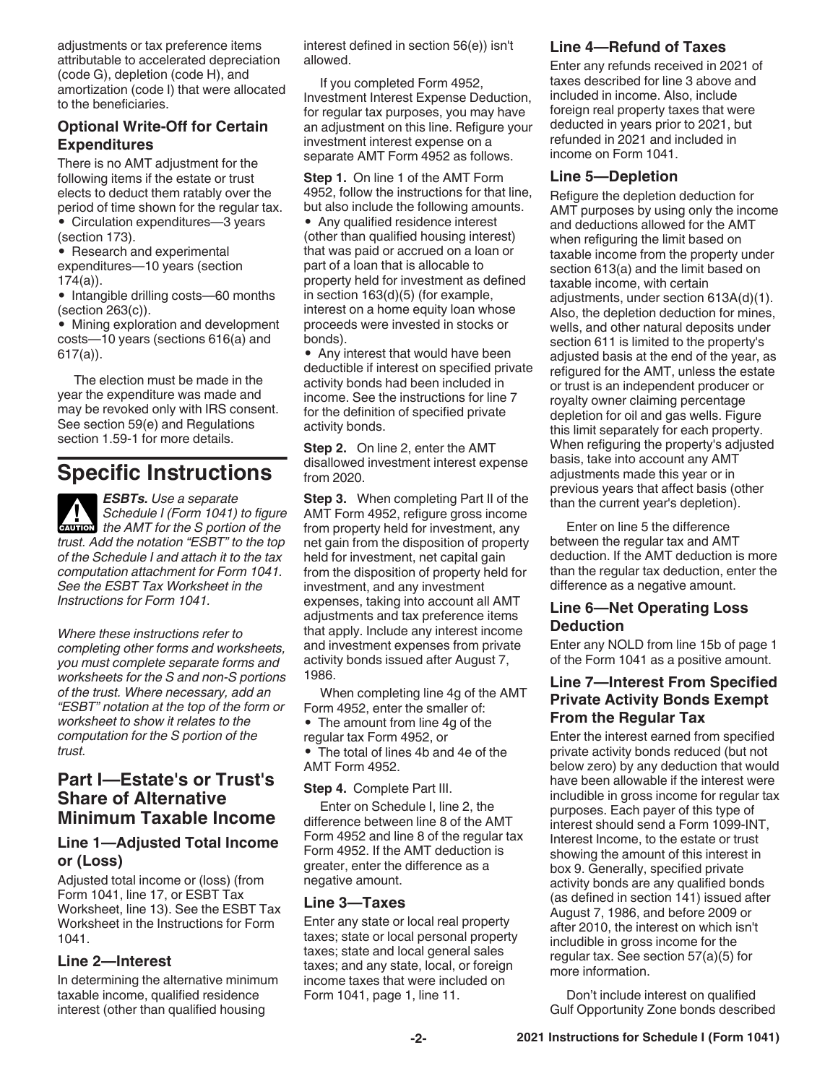adjustments or tax preference items attributable to accelerated depreciation (code G), depletion (code H), and amortization (code I) that were allocated to the beneficiaries.

#### **Optional Write-Off for Certain Expenditures**

There is no AMT adjustment for the following items if the estate or trust elects to deduct them ratably over the period of time shown for the regular tax.

- Circulation expenditures—3 years (section 173).
- Research and experimental expenditures—10 years (section 174(a)).
- Intangible drilling costs—60 months (section 263(c)).
- Mining exploration and development costs—10 years (sections 616(a) and 617(a)).

The election must be made in the year the expenditure was made and may be revoked only with IRS consent. See section 59(e) and Regulations section 1.59-1 for more details.

# **Specific Instructions**

*ESBTs. Use a separate Schedule I (Form 1041) to figure*  **Schedule I (Form 1041) to figure**<br>
the AMT for the *S* portion of the *trust. Add the notation "ESBT" to the top of the Schedule I and attach it to the tax computation attachment for Form 1041. See the ESBT Tax Worksheet in the Instructions for Form 1041.*

*Where these instructions refer to completing other forms and worksheets, you must complete separate forms and worksheets for the S and non-S portions of the trust. Where necessary, add an "ESBT" notation at the top of the form or worksheet to show it relates to the computation for the S portion of the trust.*

### **Part I—Estate's or Trust's Share of Alternative Minimum Taxable Income**

### **Line 1—Adjusted Total Income or (Loss)**

Adjusted total income or (loss) (from Form 1041, line 17, or ESBT Tax Worksheet, line 13). See the ESBT Tax Worksheet in the Instructions for Form 1041.

#### **Line 2—Interest**

In determining the alternative minimum taxable income, qualified residence interest (other than qualified housing

interest defined in section 56(e)) isn't allowed.

If you completed Form 4952, Investment Interest Expense Deduction, for regular tax purposes, you may have an adjustment on this line. Refigure your investment interest expense on a separate AMT Form 4952 as follows.

**Step 1.** On line 1 of the AMT Form 4952, follow the instructions for that line, but also include the following amounts. • Any qualified residence interest (other than qualified housing interest) that was paid or accrued on a loan or part of a loan that is allocable to property held for investment as defined in section 163(d)(5) (for example, interest on a home equity loan whose proceeds were invested in stocks or bonds).

• Any interest that would have been deductible if interest on specified private activity bonds had been included in income. See the instructions for line 7 for the definition of specified private activity bonds.

**Step 2.** On line 2, enter the AMT disallowed investment interest expense from 2020.

**Step 3.** When completing Part II of the AMT Form 4952, refigure gross income from property held for investment, any net gain from the disposition of property held for investment, net capital gain from the disposition of property held for investment, and any investment expenses, taking into account all AMT adjustments and tax preference items that apply. Include any interest income and investment expenses from private activity bonds issued after August 7, 1986.

When completing line 4g of the AMT Form 4952, enter the smaller of: • The amount from line 4g of the regular tax Form 4952, or • The total of lines 4b and 4e of the AMT Form 4952.

**Step 4.** Complete Part III.

Enter on Schedule I, line 2, the difference between line 8 of the AMT Form 4952 and line 8 of the regular tax Form 4952. If the AMT deduction is greater, enter the difference as a negative amount.

#### **Line 3—Taxes**

Enter any state or local real property taxes; state or local personal property taxes; state and local general sales taxes; and any state, local, or foreign income taxes that were included on Form 1041, page 1, line 11.

#### **Line 4—Refund of Taxes**

Enter any refunds received in 2021 of taxes described for line 3 above and included in income. Also, include foreign real property taxes that were deducted in years prior to 2021, but refunded in 2021 and included in income on Form 1041.

#### **Line 5—Depletion**

Refigure the depletion deduction for AMT purposes by using only the income and deductions allowed for the AMT when refiguring the limit based on taxable income from the property under section 613(a) and the limit based on taxable income, with certain adjustments, under section 613A(d)(1). Also, the depletion deduction for mines, wells, and other natural deposits under section 611 is limited to the property's adjusted basis at the end of the year, as refigured for the AMT, unless the estate or trust is an independent producer or royalty owner claiming percentage depletion for oil and gas wells. Figure this limit separately for each property. When refiguring the property's adjusted basis, take into account any AMT adjustments made this year or in previous years that affect basis (other than the current year's depletion).

Enter on line 5 the difference between the regular tax and AMT deduction. If the AMT deduction is more than the regular tax deduction, enter the difference as a negative amount.

#### **Line 6—Net Operating Loss Deduction**

Enter any NOLD from line 15b of page 1 of the Form 1041 as a positive amount.

#### **Line 7—Interest From Specified Private Activity Bonds Exempt From the Regular Tax**

Enter the interest earned from specified private activity bonds reduced (but not below zero) by any deduction that would have been allowable if the interest were includible in gross income for regular tax purposes. Each payer of this type of interest should send a Form 1099-INT, Interest Income, to the estate or trust showing the amount of this interest in box 9. Generally, specified private activity bonds are any qualified bonds (as defined in section 141) issued after August 7, 1986, and before 2009 or after 2010, the interest on which isn't includible in gross income for the regular tax. See section 57(a)(5) for more information.

Don't include interest on qualified Gulf Opportunity Zone bonds described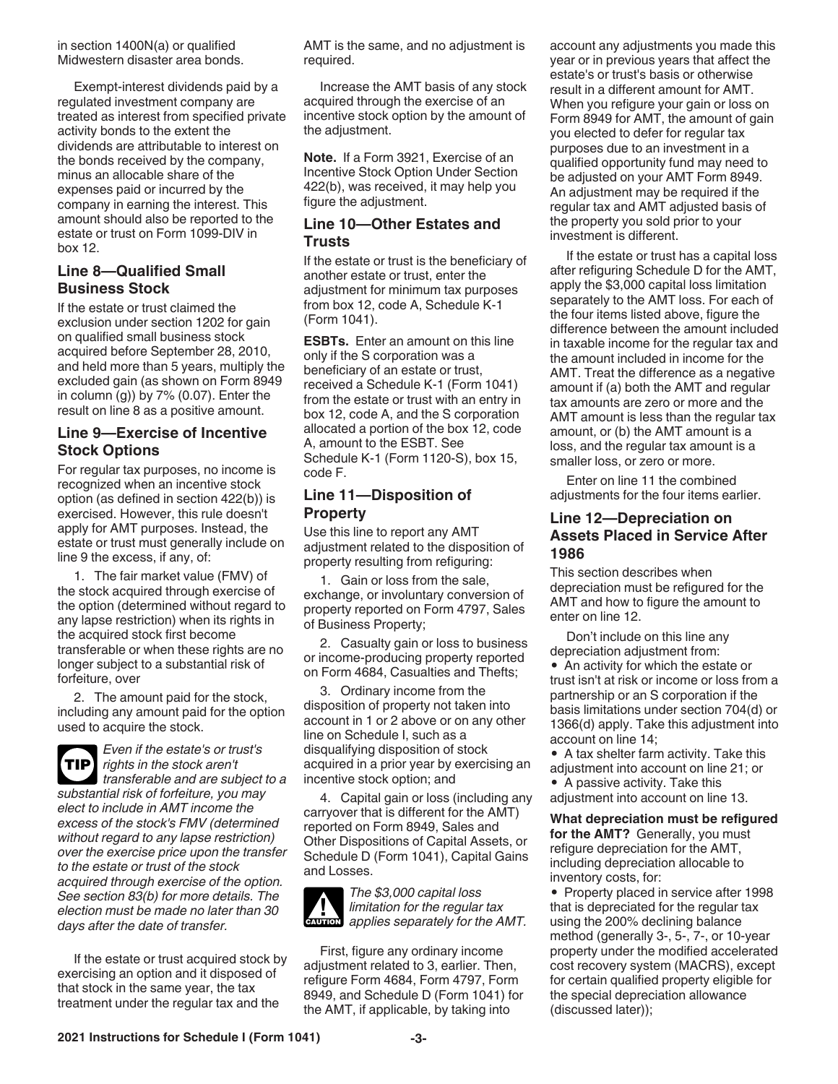in section 1400N(a) or qualified Midwestern disaster area bonds.

Exempt-interest dividends paid by a regulated investment company are treated as interest from specified private activity bonds to the extent the dividends are attributable to interest on the bonds received by the company, minus an allocable share of the expenses paid or incurred by the company in earning the interest. This amount should also be reported to the estate or trust on Form 1099-DIV in box 12.

#### **Line 8—Qualified Small Business Stock**

If the estate or trust claimed the exclusion under section 1202 for gain on qualified small business stock acquired before September 28, 2010, and held more than 5 years, multiply the excluded gain (as shown on Form 8949 in column  $(g)$ ) by 7%  $(0.07)$ . Enter the result on line 8 as a positive amount.

#### **Line 9—Exercise of Incentive Stock Options**

For regular tax purposes, no income is recognized when an incentive stock option (as defined in section 422(b)) is exercised. However, this rule doesn't apply for AMT purposes. Instead, the estate or trust must generally include on line 9 the excess, if any, of:

1. The fair market value (FMV) of the stock acquired through exercise of the option (determined without regard to any lapse restriction) when its rights in the acquired stock first become transferable or when these rights are no longer subject to a substantial risk of forfeiture, over

2. The amount paid for the stock, including any amount paid for the option used to acquire the stock.



*Even if the estate's or trust's rights in the stock aren't* 

*transferable and are subject to a substantial risk of forfeiture, you may elect to include in AMT income the excess of the stock's FMV (determined without regard to any lapse restriction) over the exercise price upon the transfer to the estate or trust of the stock acquired through exercise of the option. See section 83(b) for more details. The election must be made no later than 30 days after the date of transfer.*

If the estate or trust acquired stock by exercising an option and it disposed of that stock in the same year, the tax treatment under the regular tax and the

AMT is the same, and no adjustment is required.

Increase the AMT basis of any stock acquired through the exercise of an incentive stock option by the amount of the adjustment.

**Note.** If a Form 3921, Exercise of an Incentive Stock Option Under Section 422(b), was received, it may help you figure the adjustment.

#### **Line 10—Other Estates and Trusts**

If the estate or trust is the beneficiary of another estate or trust, enter the adjustment for minimum tax purposes from box 12, code A, Schedule K-1 (Form 1041).

**ESBTs.** Enter an amount on this line only if the S corporation was a beneficiary of an estate or trust, received a Schedule K-1 (Form 1041) from the estate or trust with an entry in box 12, code A, and the S corporation allocated a portion of the box 12, code A, amount to the ESBT. See Schedule K-1 (Form 1120-S), box 15, code F.

#### **Line 11—Disposition of Property**

Use this line to report any AMT adjustment related to the disposition of property resulting from refiguring:

1. Gain or loss from the sale, exchange, or involuntary conversion of property reported on Form 4797, Sales of Business Property;

2. Casualty gain or loss to business or income-producing property reported on Form 4684, Casualties and Thefts;

3. Ordinary income from the disposition of property not taken into account in 1 or 2 above or on any other line on Schedule I, such as a disqualifying disposition of stock acquired in a prior year by exercising an incentive stock option; and

4. Capital gain or loss (including any carryover that is different for the AMT) reported on Form 8949, Sales and Other Dispositions of Capital Assets, or Schedule D (Form 1041), Capital Gains and Losses.



*The \$3,000 capital loss limitation for the regular tax*   $\frac{1}{2}$  *dimitation for the regular tax*<br>applies separately for the AMT.

First, figure any ordinary income adjustment related to 3, earlier. Then, refigure Form 4684, Form 4797, Form 8949, and Schedule D (Form 1041) for the AMT, if applicable, by taking into

account any adjustments you made this year or in previous years that affect the estate's or trust's basis or otherwise result in a different amount for AMT. When you refigure your gain or loss on Form 8949 for AMT, the amount of gain you elected to defer for regular tax purposes due to an investment in a qualified opportunity fund may need to be adjusted on your AMT Form 8949. An adjustment may be required if the regular tax and AMT adjusted basis of the property you sold prior to your investment is different.

If the estate or trust has a capital loss after refiguring Schedule D for the AMT, apply the \$3,000 capital loss limitation separately to the AMT loss. For each of the four items listed above, figure the difference between the amount included in taxable income for the regular tax and the amount included in income for the AMT. Treat the difference as a negative amount if (a) both the AMT and regular tax amounts are zero or more and the AMT amount is less than the regular tax amount, or (b) the AMT amount is a loss, and the regular tax amount is a smaller loss, or zero or more.

Enter on line 11 the combined adjustments for the four items earlier.

#### **Line 12—Depreciation on Assets Placed in Service After 1986**

This section describes when depreciation must be refigured for the AMT and how to figure the amount to enter on line 12.

Don't include on this line any depreciation adjustment from:

• An activity for which the estate or trust isn't at risk or income or loss from a partnership or an S corporation if the basis limitations under section 704(d) or 1366(d) apply. Take this adjustment into account on line 14;

• A tax shelter farm activity. Take this adjustment into account on line 21; or

• A passive activity. Take this

adjustment into account on line 13.

**What depreciation must be refigured for the AMT?** Generally, you must refigure depreciation for the AMT, including depreciation allocable to inventory costs, for:

• Property placed in service after 1998 that is depreciated for the regular tax using the 200% declining balance method (generally 3-, 5-, 7-, or 10-year property under the modified accelerated cost recovery system (MACRS), except for certain qualified property eligible for the special depreciation allowance (discussed later));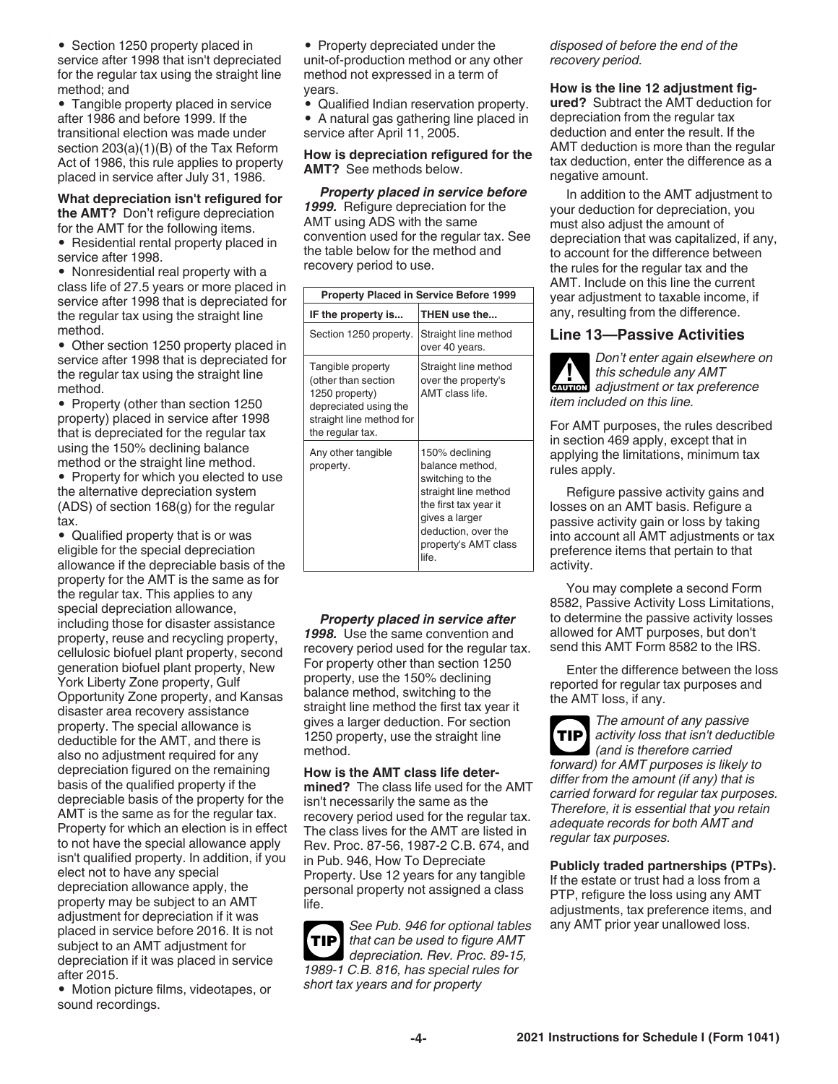• Section 1250 property placed in service after 1998 that isn't depreciated for the regular tax using the straight line method; and

• Tangible property placed in service after 1986 and before 1999. If the transitional election was made under section 203(a)(1)(B) of the Tax Reform Act of 1986, this rule applies to property placed in service after July 31, 1986.

#### **What depreciation isn't refigured for the AMT?** Don't refigure depreciation for the AMT for the following items.

• Residential rental property placed in service after 1998.

• Nonresidential real property with a class life of 27.5 years or more placed in service after 1998 that is depreciated for the regular tax using the straight line method.

• Other section 1250 property placed in service after 1998 that is depreciated for the regular tax using the straight line method.

• Property (other than section 1250 property) placed in service after 1998 that is depreciated for the regular tax using the 150% declining balance method or the straight line method.

• Property for which you elected to use the alternative depreciation system (ADS) of section 168(g) for the regular tax.

• Qualified property that is or was eligible for the special depreciation allowance if the depreciable basis of the property for the AMT is the same as for the regular tax. This applies to any special depreciation allowance, including those for disaster assistance property, reuse and recycling property, cellulosic biofuel plant property, second generation biofuel plant property, New York Liberty Zone property, Gulf Opportunity Zone property, and Kansas disaster area recovery assistance property. The special allowance is deductible for the AMT, and there is also no adjustment required for any depreciation figured on the remaining basis of the qualified property if the depreciable basis of the property for the AMT is the same as for the regular tax. Property for which an election is in effect to not have the special allowance apply isn't qualified property. In addition, if you elect not to have any special depreciation allowance apply, the property may be subject to an AMT adjustment for depreciation if it was placed in service before 2016. It is not subject to an AMT adjustment for depreciation if it was placed in service after 2015.

• Motion picture films, videotapes, or sound recordings.

- Property depreciated under the unit-of-production method or any other method not expressed in a term of years.
- Qualified Indian reservation property.
- A natural gas gathering line placed in service after April 11, 2005.

**How is depreciation refigured for the AMT?** See methods below.

*Property placed in service before*  1999. Refigure depreciation for the AMT using ADS with the same convention used for the regular tax. See the table below for the method and recovery period to use.

| <b>Property Placed in Service Before 1999</b>                                                                                       |                                                                                                                                                                                  |  |  |  |
|-------------------------------------------------------------------------------------------------------------------------------------|----------------------------------------------------------------------------------------------------------------------------------------------------------------------------------|--|--|--|
| IF the property is                                                                                                                  | THEN use the                                                                                                                                                                     |  |  |  |
| Section 1250 property.                                                                                                              | Straight line method<br>over 40 years.                                                                                                                                           |  |  |  |
| Tangible property<br>(other than section<br>1250 property)<br>depreciated using the<br>straight line method for<br>the regular tax. | Straight line method<br>over the property's<br>AMT class life.                                                                                                                   |  |  |  |
| Any other tangible<br>property.                                                                                                     | 150% declining<br>balance method,<br>switching to the<br>straight line method<br>the first tax year it<br>gives a larger<br>deduction, over the<br>property's AMT class<br>life. |  |  |  |

*Property placed in service after 1998.* Use the same convention and recovery period used for the regular tax. For property other than section 1250 property, use the 150% declining balance method, switching to the straight line method the first tax year it gives a larger deduction. For section 1250 property, use the straight line method.

**How is the AMT class life determined?** The class life used for the AMT isn't necessarily the same as the recovery period used for the regular tax. The class lives for the AMT are listed in Rev. Proc. 87-56, 1987-2 C.B. 674, and in Pub. 946, How To Depreciate Property. Use 12 years for any tangible personal property not assigned a class life.



*disposed of before the end of the recovery period.*

#### **How is the line 12 adjustment fig-**

**ured?** Subtract the AMT deduction for depreciation from the regular tax deduction and enter the result. If the AMT deduction is more than the regular tax deduction, enter the difference as a negative amount.

In addition to the AMT adjustment to your deduction for depreciation, you must also adjust the amount of depreciation that was capitalized, if any, to account for the difference between the rules for the regular tax and the AMT. Include on this line the current year adjustment to taxable income, if any, resulting from the difference.

#### **Line 13—Passive Activities**

*Don't enter again elsewhere on this schedule any AMT*  **z** *this schedule any AMT*<br> **EAUTION** adjustment or tax preference *item included on this line.*

For AMT purposes, the rules described in section 469 apply, except that in applying the limitations, minimum tax rules apply.

Refigure passive activity gains and losses on an AMT basis. Refigure a passive activity gain or loss by taking into account all AMT adjustments or tax preference items that pertain to that activity.

You may complete a second Form 8582, Passive Activity Loss Limitations, to determine the passive activity losses allowed for AMT purposes, but don't send this AMT Form 8582 to the IRS.

Enter the difference between the loss reported for regular tax purposes and the AMT loss, if any.

*The amount of any passive activity loss that isn't deductible (and is therefore carried forward) for AMT purposes is likely to differ from the amount (if any) that is carried forward for regular tax purposes. Therefore, it is essential that you retain adequate records for both AMT and regular tax purposes.* **TIP**

**Publicly traded partnerships (PTPs).**  If the estate or trust had a loss from a PTP, refigure the loss using any AMT adjustments, tax preference items, and any AMT prior year unallowed loss.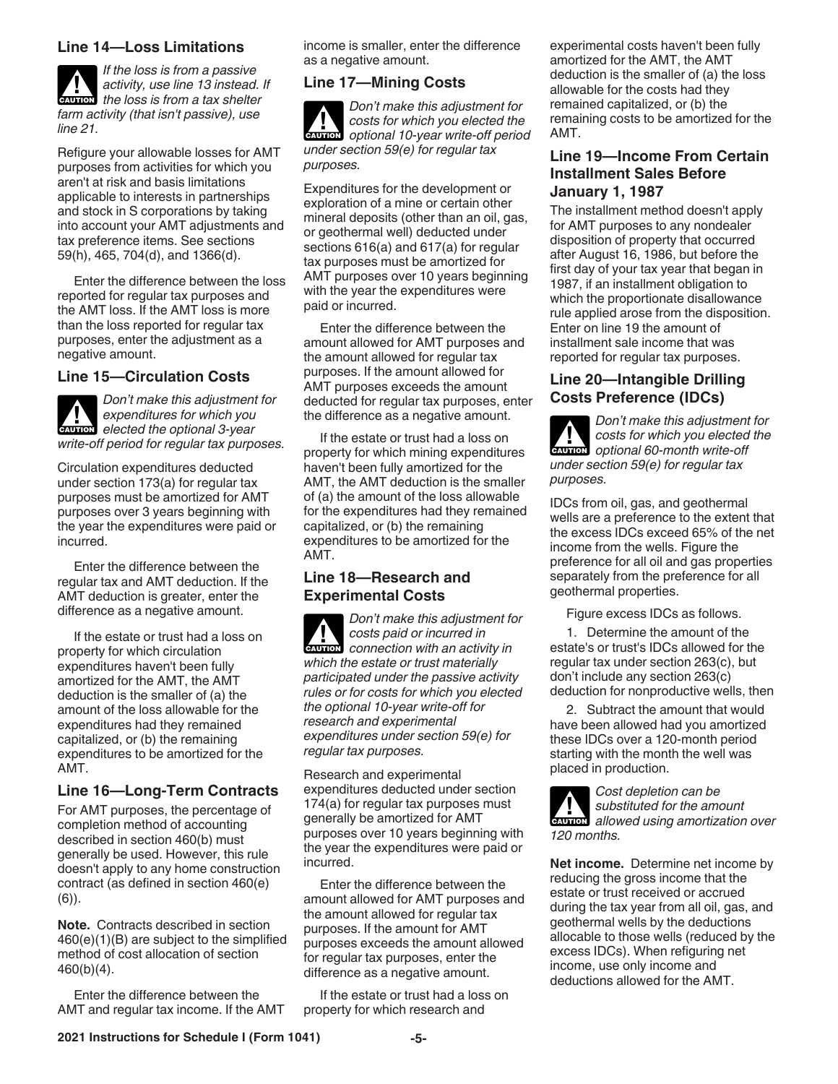#### **Line 14—Loss Limitations**

*If the loss is from a passive activity, use line 13 instead. If*  **h** activity, use line 13 instead. *farm activity (that isn't passive), use line 21.*

Refigure your allowable losses for AMT purposes from activities for which you aren't at risk and basis limitations applicable to interests in partnerships and stock in S corporations by taking into account your AMT adjustments and tax preference items. See sections 59(h), 465, 704(d), and 1366(d).

Enter the difference between the loss reported for regular tax purposes and the AMT loss. If the AMT loss is more than the loss reported for regular tax purposes, enter the adjustment as a negative amount.

#### **Line 15—Circulation Costs**

*Don't make this adjustment for expenditures for which you*  **expenditures for which you**<br> **elected the optional 3-year** *write-off period for regular tax purposes.*

Circulation expenditures deducted under section 173(a) for regular tax purposes must be amortized for AMT purposes over 3 years beginning with the year the expenditures were paid or incurred.

Enter the difference between the regular tax and AMT deduction. If the AMT deduction is greater, enter the difference as a negative amount.

If the estate or trust had a loss on property for which circulation expenditures haven't been fully amortized for the AMT, the AMT deduction is the smaller of (a) the amount of the loss allowable for the expenditures had they remained capitalized, or (b) the remaining expenditures to be amortized for the AMT.

#### **Line 16—Long-Term Contracts**

For AMT purposes, the percentage of completion method of accounting described in section 460(b) must generally be used. However, this rule doesn't apply to any home construction contract (as defined in section 460(e) (6)).

**Note.** Contracts described in section 460(e)(1)(B) are subject to the simplified method of cost allocation of section 460(b)(4).

Enter the difference between the AMT and regular tax income. If the AMT income is smaller, enter the difference as a negative amount.

#### **Line 17—Mining Costs**

*Don't make this adjustment for costs for which you elected the*  **COSTS** for which you elected the optional 10-year write-off period *under section 59(e) for regular tax purposes.*

Expenditures for the development or exploration of a mine or certain other mineral deposits (other than an oil, gas, or geothermal well) deducted under sections 616(a) and 617(a) for regular tax purposes must be amortized for AMT purposes over 10 years beginning with the year the expenditures were paid or incurred.

Enter the difference between the amount allowed for AMT purposes and the amount allowed for regular tax purposes. If the amount allowed for AMT purposes exceeds the amount deducted for regular tax purposes, enter the difference as a negative amount.

If the estate or trust had a loss on property for which mining expenditures haven't been fully amortized for the AMT, the AMT deduction is the smaller of (a) the amount of the loss allowable for the expenditures had they remained capitalized, or (b) the remaining expenditures to be amortized for the AMT.

#### **Line 18—Research and Experimental Costs**

*Don't make this adjustment for costs paid or incurred in*  **CONNECTER 2008**<br> **CONNECTED** *CONNECTER CONNECTED CONNECTED CONNECTED RO which the estate or trust materially participated under the passive activity rules or for costs for which you elected the optional 10-year write-off for research and experimental expenditures under section 59(e) for regular tax purposes.*

Research and experimental expenditures deducted under section 174(a) for regular tax purposes must generally be amortized for AMT purposes over 10 years beginning with the year the expenditures were paid or incurred.

Enter the difference between the amount allowed for AMT purposes and the amount allowed for regular tax purposes. If the amount for AMT purposes exceeds the amount allowed for regular tax purposes, enter the difference as a negative amount.

If the estate or trust had a loss on property for which research and

experimental costs haven't been fully amortized for the AMT, the AMT deduction is the smaller of (a) the loss allowable for the costs had they remained capitalized, or (b) the remaining costs to be amortized for the AMT.

#### **Line 19—Income From Certain Installment Sales Before January 1, 1987**

The installment method doesn't apply for AMT purposes to any nondealer disposition of property that occurred after August 16, 1986, but before the first day of your tax year that began in 1987, if an installment obligation to which the proportionate disallowance rule applied arose from the disposition. Enter on line 19 the amount of installment sale income that was reported for regular tax purposes.

#### **Line 20—Intangible Drilling Costs Preference (IDCs)**

*Don't make this adjustment for costs for which you elected the*  **costs for which you elected**<br> **CAUTION** optional 60-month write-off *under section 59(e) for regular tax purposes.*

IDCs from oil, gas, and geothermal wells are a preference to the extent that the excess IDCs exceed 65% of the net income from the wells. Figure the preference for all oil and gas properties separately from the preference for all geothermal properties.

Figure excess IDCs as follows.

1. Determine the amount of the estate's or trust's IDCs allowed for the regular tax under section 263(c), but don't include any section 263(c) deduction for nonproductive wells, then

2. Subtract the amount that would have been allowed had you amortized these IDCs over a 120-month period starting with the month the well was placed in production.

*Cost depletion can be substituted for the amount*  **z** substituted for the amount<br> **CAUTION** allowed using amortization over *120 months.*

**Net income.** Determine net income by reducing the gross income that the estate or trust received or accrued during the tax year from all oil, gas, and geothermal wells by the deductions allocable to those wells (reduced by the excess IDCs). When refiguring net income, use only income and deductions allowed for the AMT.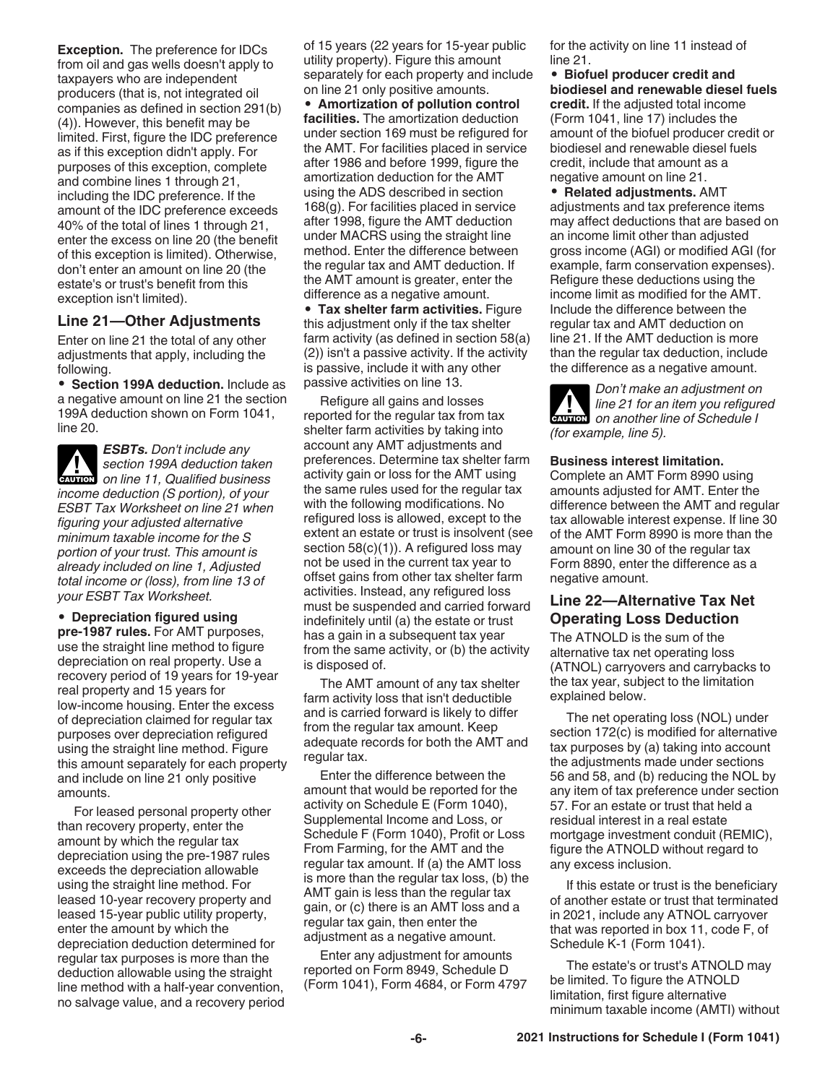**Exception.** The preference for IDCs from oil and gas wells doesn't apply to taxpayers who are independent producers (that is, not integrated oil companies as defined in section 291(b) (4)). However, this benefit may be limited. First, figure the IDC preference as if this exception didn't apply. For purposes of this exception, complete and combine lines 1 through 21, including the IDC preference. If the amount of the IDC preference exceeds 40% of the total of lines 1 through 21, enter the excess on line 20 (the benefit of this exception is limited). Otherwise, don't enter an amount on line 20 (the estate's or trust's benefit from this exception isn't limited).

#### **Line 21—Other Adjustments**

Enter on line 21 the total of any other adjustments that apply, including the following.

• **Section 199A deduction.** Include as a negative amount on line 21 the section 199A deduction shown on Form 1041, line 20.

*ESBTs. Don't include any section 199A deduction taken*  **CAUTION** Section 199A deduction taken<br>
on line 11, Qualified business *income deduction (S portion), of your ESBT Tax Worksheet on line 21 when figuring your adjusted alternative minimum taxable income for the S portion of your trust. This amount is already included on line 1, Adjusted total income or (loss), from line 13 of your ESBT Tax Worksheet.*

• **Depreciation figured using pre-1987 rules.** For AMT purposes, use the straight line method to figure depreciation on real property. Use a recovery period of 19 years for 19-year real property and 15 years for low-income housing. Enter the excess of depreciation claimed for regular tax purposes over depreciation refigured using the straight line method. Figure this amount separately for each property and include on line 21 only positive amounts.

For leased personal property other than recovery property, enter the amount by which the regular tax depreciation using the pre-1987 rules exceeds the depreciation allowable using the straight line method. For leased 10-year recovery property and leased 15-year public utility property, enter the amount by which the depreciation deduction determined for regular tax purposes is more than the deduction allowable using the straight line method with a half-year convention, no salvage value, and a recovery period of 15 years (22 years for 15-year public utility property). Figure this amount separately for each property and include on line 21 only positive amounts.

• **Amortization of pollution control facilities.** The amortization deduction under section 169 must be refigured for the AMT. For facilities placed in service after 1986 and before 1999, figure the amortization deduction for the AMT using the ADS described in section 168(g). For facilities placed in service after 1998, figure the AMT deduction under MACRS using the straight line method. Enter the difference between the regular tax and AMT deduction. If the AMT amount is greater, enter the difference as a negative amount.

• **Tax shelter farm activities.** Figure this adjustment only if the tax shelter farm activity (as defined in section 58(a) (2)) isn't a passive activity. If the activity is passive, include it with any other passive activities on line 13.

Refigure all gains and losses reported for the regular tax from tax shelter farm activities by taking into account any AMT adjustments and preferences. Determine tax shelter farm activity gain or loss for the AMT using the same rules used for the regular tax with the following modifications. No refigured loss is allowed, except to the extent an estate or trust is insolvent (see section 58(c)(1)). A refigured loss may not be used in the current tax year to offset gains from other tax shelter farm activities. Instead, any refigured loss must be suspended and carried forward indefinitely until (a) the estate or trust has a gain in a subsequent tax year from the same activity, or (b) the activity is disposed of.

The AMT amount of any tax shelter farm activity loss that isn't deductible and is carried forward is likely to differ from the regular tax amount. Keep adequate records for both the AMT and regular tax.

Enter the difference between the amount that would be reported for the activity on Schedule E (Form 1040), Supplemental Income and Loss, or Schedule F (Form 1040), Profit or Loss From Farming, for the AMT and the regular tax amount. If (a) the AMT loss is more than the regular tax loss, (b) the AMT gain is less than the regular tax gain, or (c) there is an AMT loss and a regular tax gain, then enter the adjustment as a negative amount.

Enter any adjustment for amounts reported on Form 8949, Schedule D (Form 1041), Form 4684, or Form 4797 for the activity on line 11 instead of line 21.

• **Biofuel producer credit and biodiesel and renewable diesel fuels credit.** If the adjusted total income (Form 1041, line 17) includes the amount of the biofuel producer credit or biodiesel and renewable diesel fuels credit, include that amount as a negative amount on line 21.

• **Related adjustments.** AMT adjustments and tax preference items may affect deductions that are based on an income limit other than adjusted gross income (AGI) or modified AGI (for example, farm conservation expenses). Refigure these deductions using the income limit as modified for the AMT. Include the difference between the regular tax and AMT deduction on line 21. If the AMT deduction is more than the regular tax deduction, include the difference as a negative amount.

*Don't make an adjustment on line 21 for an item you refigured*  **cAUTION** line 21 for an item you refigure *(for example, line 5).*

#### **Business interest limitation.**

Complete an AMT Form 8990 using amounts adjusted for AMT. Enter the difference between the AMT and regular tax allowable interest expense. If line 30 of the AMT Form 8990 is more than the amount on line 30 of the regular tax Form 8890, enter the difference as a negative amount.

#### **Line 22—Alternative Tax Net Operating Loss Deduction**

The ATNOLD is the sum of the alternative tax net operating loss (ATNOL) carryovers and carrybacks to the tax year, subject to the limitation explained below.

The net operating loss (NOL) under section 172(c) is modified for alternative tax purposes by (a) taking into account the adjustments made under sections 56 and 58, and (b) reducing the NOL by any item of tax preference under section 57. For an estate or trust that held a residual interest in a real estate mortgage investment conduit (REMIC), figure the ATNOLD without regard to any excess inclusion.

If this estate or trust is the beneficiary of another estate or trust that terminated in 2021, include any ATNOL carryover that was reported in box 11, code F, of Schedule K-1 (Form 1041).

The estate's or trust's ATNOLD may be limited. To figure the ATNOLD limitation, first figure alternative minimum taxable income (AMTI) without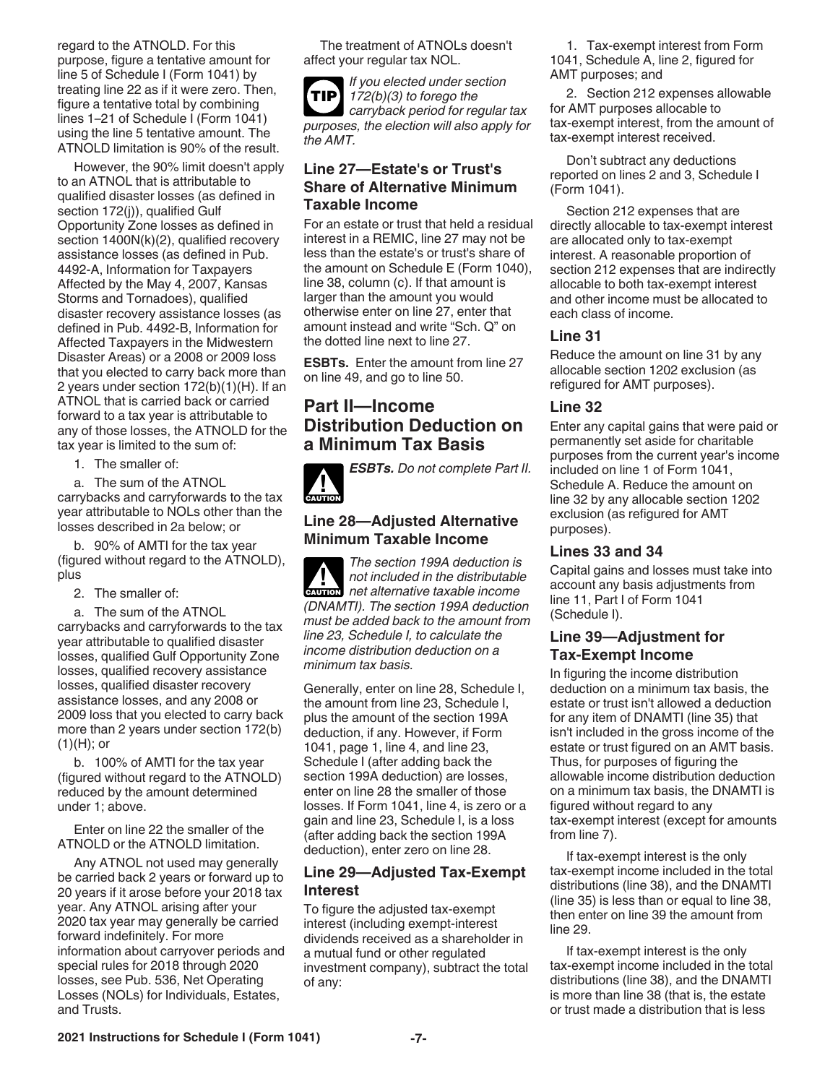regard to the ATNOLD. For this purpose, figure a tentative amount for line 5 of Schedule I (Form 1041) by treating line 22 as if it were zero. Then, figure a tentative total by combining lines 1–21 of Schedule I (Form 1041) using the line 5 tentative amount. The ATNOLD limitation is 90% of the result.

However, the 90% limit doesn't apply to an ATNOL that is attributable to qualified disaster losses (as defined in section 172(j)), qualified Gulf Opportunity Zone losses as defined in section 1400N(k)(2), qualified recovery assistance losses (as defined in Pub. 4492-A, Information for Taxpayers Affected by the May 4, 2007, Kansas Storms and Tornadoes), qualified disaster recovery assistance losses (as defined in Pub. 4492-B, Information for Affected Taxpayers in the Midwestern Disaster Areas) or a 2008 or 2009 loss that you elected to carry back more than 2 years under section 172(b)(1)(H). If an ATNOL that is carried back or carried forward to a tax year is attributable to any of those losses, the ATNOLD for the tax year is limited to the sum of:

1. The smaller of:

a. The sum of the ATNOL carrybacks and carryforwards to the tax year attributable to NOLs other than the losses described in 2a below; or

b. 90% of AMTI for the tax year (figured without regard to the ATNOLD), plus

2. The smaller of:

a. The sum of the ATNOL carrybacks and carryforwards to the tax year attributable to qualified disaster losses, qualified Gulf Opportunity Zone losses, qualified recovery assistance losses, qualified disaster recovery assistance losses, and any 2008 or 2009 loss that you elected to carry back more than 2 years under section 172(b)  $(1)(H)$ ; or

b. 100% of AMTI for the tax year (figured without regard to the ATNOLD) reduced by the amount determined under 1; above.

Enter on line 22 the smaller of the ATNOLD or the ATNOLD limitation.

Any ATNOL not used may generally be carried back 2 years or forward up to 20 years if it arose before your 2018 tax year. Any ATNOL arising after your 2020 tax year may generally be carried forward indefinitely. For more information about carryover periods and special rules for 2018 through 2020 losses, see Pub. 536, Net Operating Losses (NOLs) for Individuals, Estates, and Trusts.

The treatment of ATNOLs doesn't affect your regular tax NOL.

*If you elected under section 172(b)(3) to forego the carryback period for regular tax purposes, the election will also apply for the AMT.* **TIP**

#### **Line 27—Estate's or Trust's Share of Alternative Minimum Taxable Income**

For an estate or trust that held a residual interest in a REMIC, line 27 may not be less than the estate's or trust's share of the amount on Schedule E (Form 1040), line 38, column (c). If that amount is larger than the amount you would otherwise enter on line 27, enter that amount instead and write "Sch. Q" on the dotted line next to line 27.

**ESBTs.** Enter the amount from line 27 on line 49, and go to line 50.

## **Part II—Income Distribution Deduction on a Minimum Tax Basis**

*ESBTs. Do not complete Part II.* **CAUTION !**

#### **Line 28—Adjusted Alternative Minimum Taxable Income**

*The section 199A deduction is not included in the distributable net alternative taxable income (DNAMTI). The section 199A deduction must be added back to the amount from line 23, Schedule I, to calculate the income distribution deduction on a minimum tax basis.* **CAUTION !**

Generally, enter on line 28, Schedule I, the amount from line 23, Schedule I, plus the amount of the section 199A deduction, if any. However, if Form 1041, page 1, line 4, and line 23, Schedule I (after adding back the section 199A deduction) are losses, enter on line 28 the smaller of those losses. If Form 1041, line 4, is zero or a gain and line 23, Schedule I, is a loss (after adding back the section 199A deduction), enter zero on line 28.

### **Line 29—Adjusted Tax-Exempt Interest**

To figure the adjusted tax-exempt interest (including exempt-interest dividends received as a shareholder in a mutual fund or other regulated investment company), subtract the total of any:

1. Tax-exempt interest from Form 1041, Schedule A, line 2, figured for AMT purposes; and

2. Section 212 expenses allowable for AMT purposes allocable to tax-exempt interest, from the amount of tax-exempt interest received.

Don't subtract any deductions reported on lines 2 and 3, Schedule I (Form 1041).

Section 212 expenses that are directly allocable to tax-exempt interest are allocated only to tax-exempt interest. A reasonable proportion of section 212 expenses that are indirectly allocable to both tax-exempt interest and other income must be allocated to each class of income.

#### **Line 31**

Reduce the amount on line 31 by any allocable section 1202 exclusion (as refigured for AMT purposes).

#### **Line 32**

Enter any capital gains that were paid or permanently set aside for charitable purposes from the current year's income included on line 1 of Form 1041, Schedule A. Reduce the amount on line 32 by any allocable section 1202 exclusion (as refigured for AMT purposes).

#### **Lines 33 and 34**

Capital gains and losses must take into account any basis adjustments from line 11, Part I of Form 1041 (Schedule I).

#### **Line 39—Adjustment for Tax-Exempt Income**

In figuring the income distribution deduction on a minimum tax basis, the estate or trust isn't allowed a deduction for any item of DNAMTI (line 35) that isn't included in the gross income of the estate or trust figured on an AMT basis. Thus, for purposes of figuring the allowable income distribution deduction on a minimum tax basis, the DNAMTI is figured without regard to any tax-exempt interest (except for amounts from line 7).

If tax-exempt interest is the only tax-exempt income included in the total distributions (line 38), and the DNAMTI (line 35) is less than or equal to line 38, then enter on line 39 the amount from line 29.

If tax-exempt interest is the only tax-exempt income included in the total distributions (line 38), and the DNAMTI is more than line 38 (that is, the estate or trust made a distribution that is less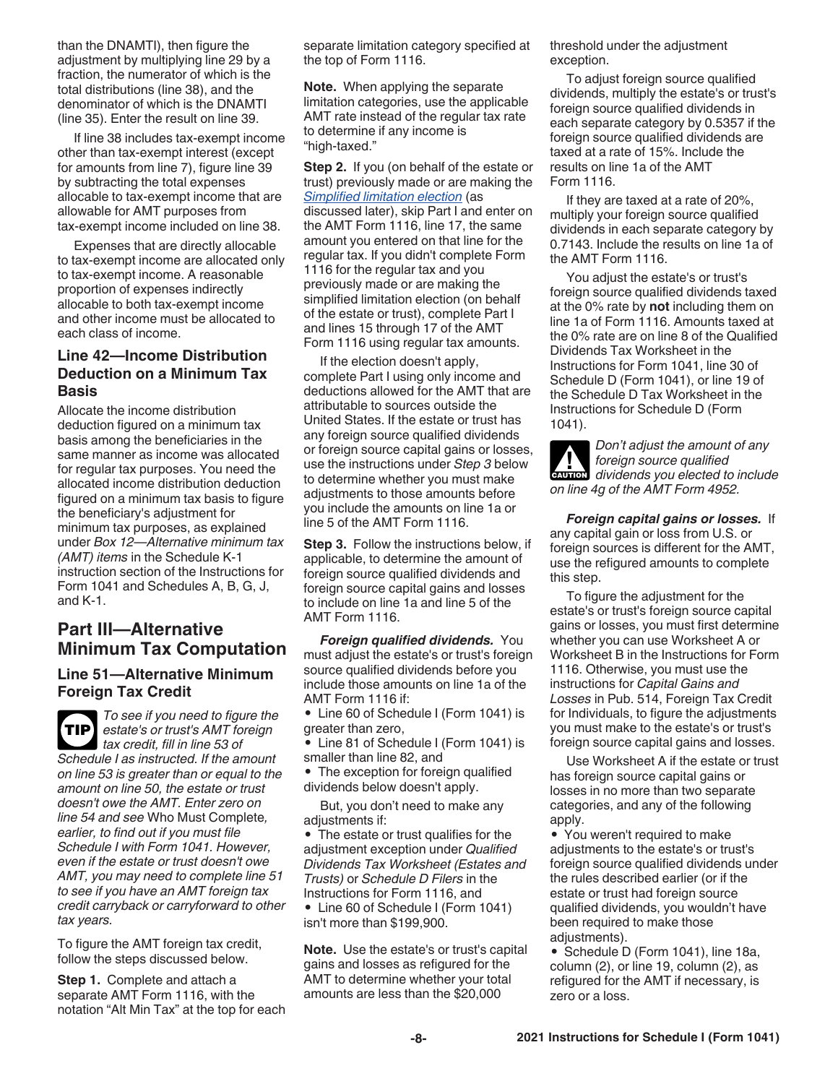than the DNAMTI), then figure the adjustment by multiplying line 29 by a fraction, the numerator of which is the total distributions (line 38), and the denominator of which is the DNAMTI (line 35). Enter the result on line 39.

If line 38 includes tax-exempt income other than tax-exempt interest (except for amounts from line 7), figure line 39 by subtracting the total expenses allocable to tax-exempt income that are allowable for AMT purposes from tax-exempt income included on line 38.

Expenses that are directly allocable to tax-exempt income are allocated only to tax-exempt income. A reasonable proportion of expenses indirectly allocable to both tax-exempt income and other income must be allocated to each class of income.

#### **Line 42—Income Distribution Deduction on a Minimum Tax Basis**

Allocate the income distribution deduction figured on a minimum tax basis among the beneficiaries in the same manner as income was allocated for regular tax purposes. You need the allocated income distribution deduction figured on a minimum tax basis to figure the beneficiary's adjustment for minimum tax purposes, as explained under *Box 12—Alternative minimum tax (AMT) items* in the Schedule K-1 instruction section of the Instructions for Form 1041 and Schedules A, B, G, J, and K-1.

## **Part III—Alternative Minimum Tax Computation**

#### **Line 51—Alternative Minimum Foreign Tax Credit**

*To see if you need to figure the estate's or trust's AMT foreign tax credit, fill in line 53 of Schedule I as instructed. If the amount on line 53 is greater than or equal to the amount on line 50, the estate or trust doesn't owe the AMT. Enter zero on line 54 and see* Who Must Complete*, earlier, to find out if you must file Schedule I with Form 1041. However, even if the estate or trust doesn't owe AMT, you may need to complete line 51 to see if you have an AMT foreign tax credit carryback or carryforward to other tax years.* **TIP**

To figure the AMT foreign tax credit, follow the steps discussed below.

**Step 1.** Complete and attach a separate AMT Form 1116, with the notation "Alt Min Tax" at the top for each separate limitation category specified at the top of Form 1116.

**Note.** When applying the separate limitation categories, use the applicable AMT rate instead of the regular tax rate to determine if any income is "high-taxed."

**Step 2.** If you (on behalf of the estate or trust) previously made or are making the *Simplified limitation election* (as discussed later), skip Part I and enter on the AMT Form 1116, line 17, the same amount you entered on that line for the regular tax. If you didn't complete Form 1116 for the regular tax and you previously made or are making the simplified limitation election (on behalf of the estate or trust), complete Part I and lines 15 through 17 of the AMT Form 1116 using regular tax amounts.

If the election doesn't apply, complete Part I using only income and deductions allowed for the AMT that are attributable to sources outside the United States. If the estate or trust has any foreign source qualified dividends or foreign source capital gains or losses, use the instructions under *Step 3* below to determine whether you must make adjustments to those amounts before you include the amounts on line 1a or line 5 of the AMT Form 1116.

**Step 3.** Follow the instructions below, if applicable, to determine the amount of foreign source qualified dividends and foreign source capital gains and losses to include on line 1a and line 5 of the AMT Form 1116.

*Foreign qualified dividends.* You must adjust the estate's or trust's foreign source qualified dividends before you include those amounts on line 1a of the AMT Form 1116 if:

• Line 60 of Schedule I (Form 1041) is greater than zero,

• Line 81 of Schedule I (Form 1041) is smaller than line 82, and

• The exception for foreign qualified dividends below doesn't apply.

But, you don't need to make any adjustments if:

• The estate or trust qualifies for the adjustment exception under *Qualified Dividends Tax Worksheet (Estates and Trusts)* or *Schedule D Filers* in the Instructions for Form 1116, and • Line 60 of Schedule I (Form 1041) isn't more than \$199,900.

**Note.** Use the estate's or trust's capital gains and losses as refigured for the AMT to determine whether your total amounts are less than the \$20,000

threshold under the adjustment exception.

To adjust foreign source qualified dividends, multiply the estate's or trust's foreign source qualified dividends in each separate category by 0.5357 if the foreign source qualified dividends are taxed at a rate of 15%. Include the results on line 1a of the AMT Form 1116.

If they are taxed at a rate of 20%, multiply your foreign source qualified dividends in each separate category by 0.7143. Include the results on line 1a of the AMT Form 1116.

You adjust the estate's or trust's foreign source qualified dividends taxed at the 0% rate by **not** including them on line 1a of Form 1116. Amounts taxed at the 0% rate are on line 8 of the Qualified Dividends Tax Worksheet in the Instructions for Form 1041, line 30 of Schedule D (Form 1041), or line 19 of the Schedule D Tax Worksheet in the Instructions for Schedule D (Form 1041).

*Don't adjust the amount of any foreign source qualified*   $\alpha$  *dividends you elected to include on line 4g of the AMT Form 4952.*

*Foreign capital gains or losses.* If any capital gain or loss from U.S. or foreign sources is different for the AMT, use the refigured amounts to complete this step.

To figure the adjustment for the estate's or trust's foreign source capital gains or losses, you must first determine whether you can use Worksheet A or Worksheet B in the Instructions for Form 1116. Otherwise, you must use the instructions for *Capital Gains and Losses* in Pub. 514, Foreign Tax Credit for Individuals, to figure the adjustments you must make to the estate's or trust's foreign source capital gains and losses.

Use Worksheet A if the estate or trust has foreign source capital gains or losses in no more than two separate categories, and any of the following apply.

• You weren't required to make adjustments to the estate's or trust's foreign source qualified dividends under the rules described earlier (or if the estate or trust had foreign source qualified dividends, you wouldn't have been required to make those adjustments).

• Schedule D (Form 1041), line 18a, column (2), or line 19, column (2), as refigured for the AMT if necessary, is zero or a loss.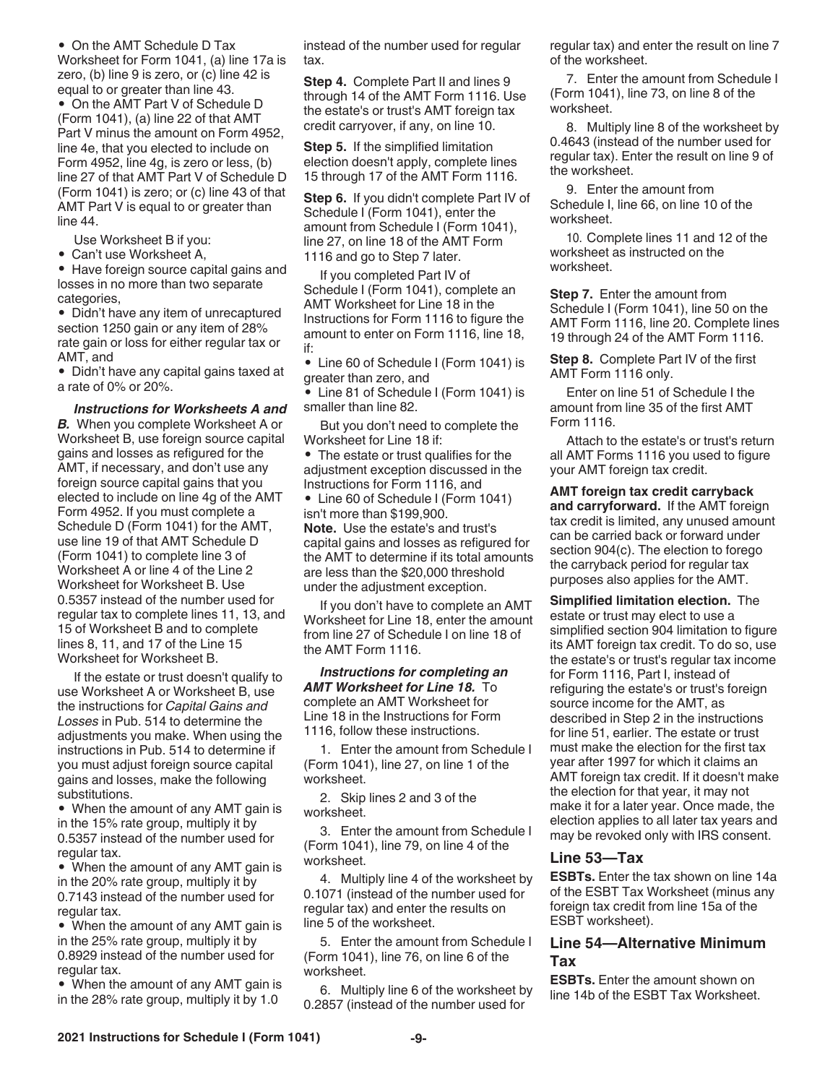• On the AMT Schedule D Tax Worksheet for Form 1041, (a) line 17a is zero, (b) line 9 is zero, or (c) line 42 is equal to or greater than line 43.

• On the AMT Part V of Schedule D (Form 1041), (a) line 22 of that AMT Part V minus the amount on Form 4952, line 4e, that you elected to include on Form 4952, line 4g, is zero or less, (b) line 27 of that AMT Part V of Schedule D (Form 1041) is zero; or (c) line 43 of that AMT Part V is equal to or greater than line 44.

Use Worksheet B if you:

• Can't use Worksheet A,

• Have foreign source capital gains and losses in no more than two separate categories,

• Didn't have any item of unrecaptured section 1250 gain or any item of 28% rate gain or loss for either regular tax or AMT, and

• Didn't have any capital gains taxed at a rate of 0% or 20%.

*Instructions for Worksheets A and B.* When you complete Worksheet A or Worksheet B, use foreign source capital gains and losses as refigured for the AMT, if necessary, and don't use any foreign source capital gains that you elected to include on line 4g of the AMT Form 4952. If you must complete a Schedule D (Form 1041) for the AMT, use line 19 of that AMT Schedule D (Form 1041) to complete line 3 of Worksheet A or line 4 of the Line 2 Worksheet for Worksheet B. Use 0.5357 instead of the number used for regular tax to complete lines 11, 13, and 15 of Worksheet B and to complete lines 8, 11, and 17 of the Line 15 Worksheet for Worksheet B.

If the estate or trust doesn't qualify to use Worksheet A or Worksheet B, use the instructions for *Capital Gains and Losses* in Pub. 514 to determine the adjustments you make. When using the instructions in Pub. 514 to determine if you must adjust foreign source capital gains and losses, make the following substitutions.

• When the amount of any AMT gain is in the 15% rate group, multiply it by 0.5357 instead of the number used for regular tax.

• When the amount of any AMT gain is in the 20% rate group, multiply it by 0.7143 instead of the number used for regular tax.

• When the amount of any AMT gain is in the 25% rate group, multiply it by 0.8929 instead of the number used for regular tax.

• When the amount of any AMT gain is in the 28% rate group, multiply it by 1.0

instead of the number used for regular tax.

**Step 4.** Complete Part II and lines 9 through 14 of the AMT Form 1116. Use the estate's or trust's AMT foreign tax credit carryover, if any, on line 10.

**Step 5.** If the simplified limitation election doesn't apply, complete lines 15 through 17 of the AMT Form 1116.

**Step 6.** If you didn't complete Part IV of Schedule I (Form 1041), enter the amount from Schedule I (Form 1041), line 27, on line 18 of the AMT Form 1116 and go to Step 7 later.

If you completed Part IV of Schedule I (Form 1041), complete an AMT Worksheet for Line 18 in the Instructions for Form 1116 to figure the amount to enter on Form 1116, line 18, if:

• Line 60 of Schedule I (Form 1041) is greater than zero, and

• Line 81 of Schedule I (Form 1041) is smaller than line 82.

But you don't need to complete the Worksheet for Line 18 if:

• The estate or trust qualifies for the adjustment exception discussed in the Instructions for Form 1116, and

• Line 60 of Schedule I (Form 1041) isn't more than \$199,900.

**Note.** Use the estate's and trust's capital gains and losses as refigured for the AMT to determine if its total amounts are less than the \$20,000 threshold under the adjustment exception.

If you don't have to complete an AMT Worksheet for Line 18, enter the amount from line 27 of Schedule I on line 18 of the AMT Form 1116.

*Instructions for completing an AMT Worksheet for Line 18.* To complete an AMT Worksheet for Line 18 in the Instructions for Form 1116, follow these instructions.

1. Enter the amount from Schedule I (Form 1041), line 27, on line 1 of the worksheet.

2. Skip lines 2 and 3 of the worksheet.

3. Enter the amount from Schedule I (Form 1041), line 79, on line 4 of the worksheet.

4. Multiply line 4 of the worksheet by 0.1071 (instead of the number used for regular tax) and enter the results on line 5 of the worksheet.

5. Enter the amount from Schedule I (Form 1041), line 76, on line 6 of the worksheet.

6. Multiply line 6 of the worksheet by 0.2857 (instead of the number used for

regular tax) and enter the result on line 7 of the worksheet.

7. Enter the amount from Schedule I (Form 1041), line 73, on line 8 of the worksheet.

8. Multiply line 8 of the worksheet by 0.4643 (instead of the number used for regular tax). Enter the result on line 9 of the worksheet.

9. Enter the amount from Schedule I, line 66, on line 10 of the worksheet.

10. Complete lines 11 and 12 of the worksheet as instructed on the worksheet.

**Step 7.** Enter the amount from Schedule I (Form 1041), line 50 on the AMT Form 1116, line 20. Complete lines 19 through 24 of the AMT Form 1116.

**Step 8.** Complete Part IV of the first AMT Form 1116 only.

Enter on line 51 of Schedule I the amount from line 35 of the first AMT Form 1116.

Attach to the estate's or trust's return all AMT Forms 1116 you used to figure your AMT foreign tax credit.

**AMT foreign tax credit carryback and carryforward.** If the AMT foreign tax credit is limited, any unused amount can be carried back or forward under section 904(c). The election to forego the carryback period for regular tax purposes also applies for the AMT.

**Simplified limitation election.** The estate or trust may elect to use a simplified section 904 limitation to figure its AMT foreign tax credit. To do so, use the estate's or trust's regular tax income for Form 1116, Part I, instead of refiguring the estate's or trust's foreign source income for the AMT, as described in Step 2 in the instructions for line 51, earlier. The estate or trust must make the election for the first tax year after 1997 for which it claims an AMT foreign tax credit. If it doesn't make the election for that year, it may not make it for a later year. Once made, the election applies to all later tax years and may be revoked only with IRS consent.

#### **Line 53—Tax**

**ESBTs.** Enter the tax shown on line 14a of the ESBT Tax Worksheet (minus any foreign tax credit from line 15a of the ESBT worksheet).

#### **Line 54—Alternative Minimum Tax**

**ESBTs.** Enter the amount shown on line 14b of the ESBT Tax Worksheet.